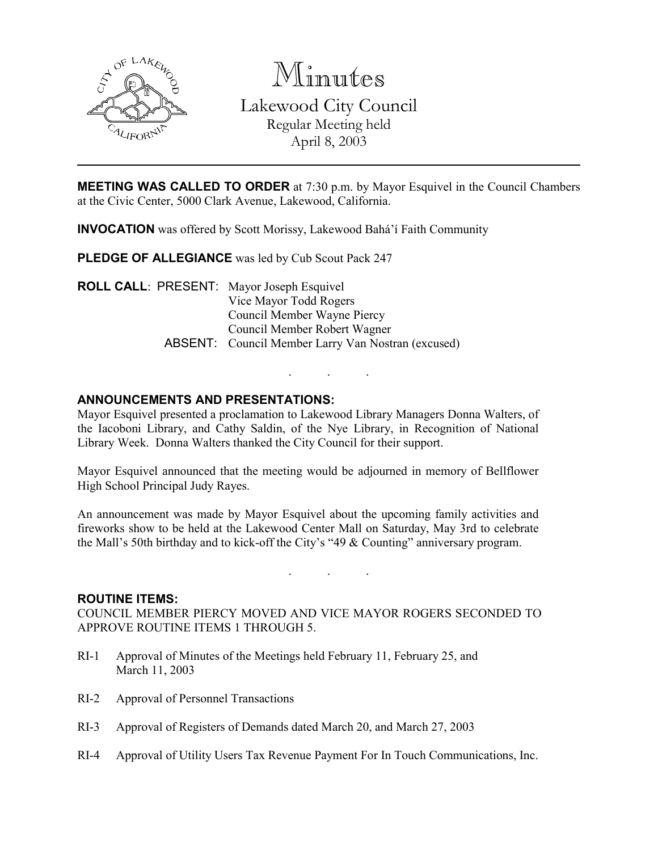

Minutes

Lakewood City Council Regular Meeting held April 8, 2003

**MEETING WAS CALLED TO ORDER** at 7:30 p.m. by Mayor Esquivel in the Council Chambers at the Civic Center, 5000 Clark Avenue, Lakewood, California.

INVOCATION was offered by Scott Morissy, Lakewood Bahá'í Faith Community

PLEDGE OF ALLEGIANCE was led by Cub Scout Pack 247

ROLL CALL: PRESENT: Mayor Joseph Esquivel Vice Mayor Todd Rogers Council Member Wayne Piercy Council Member Robert Wagner ABSENT: Council Member Larry Van Nostran (excused)

### ANNOUNCEMENTS AND PRESENTATIONS:

Mayor Esquivel presented a proclamation to Lakewood Library Managers Donna Walters, of the Iacoboni Library, and Cathy Saldin, of the Nye Library, in Recognition of National Library Week. Donna Walters thanked the City Council for their support.

. . .

Mayor Esquivel announced that the meeting would be adjourned in memory of Bellflower High School Principal Judy Rayes.

An announcement was made by Mayor Esquivel about the upcoming family activities and fireworks show to be held at the Lakewood Center Mall on Saturday, May 3rd to celebrate the Mall's 50th birthday and to kick-off the City's "49 & Counting" anniversary program.

. . .

#### ROUTINE ITEMS:

COUNCIL MEMBER PIERCY MOVED AND VICE MAYOR ROGERS SECONDED TO APPROVE ROUTINE ITEMS 1 THROUGH 5.

- RI-1 Approval of Minutes of the Meetings held February 11, February 25, and March 11, 2003
- RI-2 Approval of Personnel Transactions
- RI-3 Approval of Registers of Demands dated March 20, and March 27, 2003
- RI-4 Approval of Utility Users Tax Revenue Payment For In Touch Communications, Inc.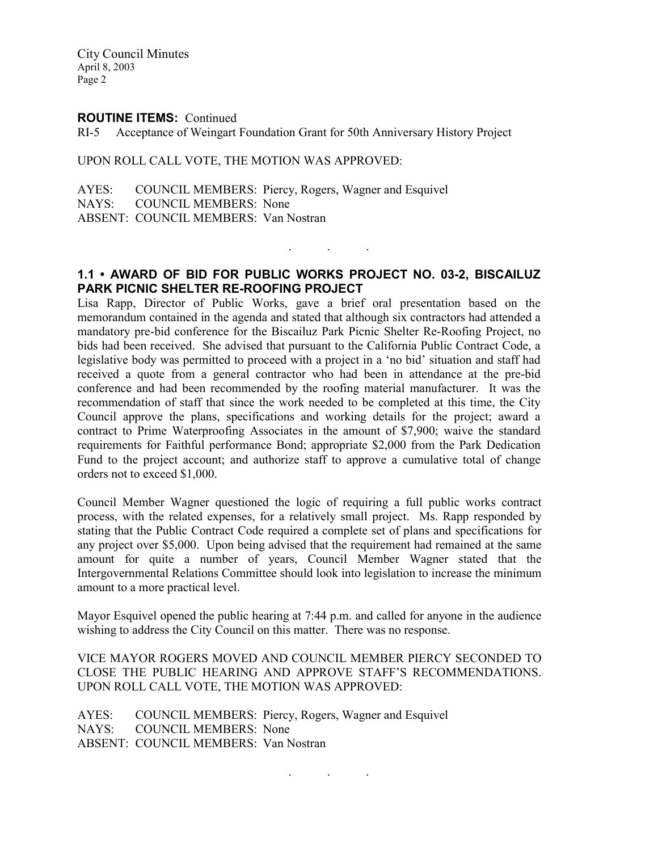City Council Minutes April 8, 2003 Page 2

#### ROUTINE ITEMS: Continued

RI-5 Acceptance of Weingart Foundation Grant for 50th Anniversary History Project

UPON ROLL CALL VOTE, THE MOTION WAS APPROVED:

AYES: COUNCIL MEMBERS: Piercy, Rogers, Wagner and Esquivel NAYS: COUNCIL MEMBERS: None ABSENT: COUNCIL MEMBERS: Van Nostran

### 1.1 • AWARD OF BID FOR PUBLIC WORKS PROJECT NO. 03-2, BISCAILUZ PARK PICNIC SHELTER RE-ROOFING PROJECT

. . .

Lisa Rapp, Director of Public Works, gave a brief oral presentation based on the memorandum contained in the agenda and stated that although six contractors had attended a mandatory pre-bid conference for the Biscailuz Park Picnic Shelter Re-Roofing Project, no bids had been received. She advised that pursuant to the California Public Contract Code, a legislative body was permitted to proceed with a project in a 'no bid' situation and staff had received a quote from a general contractor who had been in attendance at the pre-bid conference and had been recommended by the roofing material manufacturer. It was the recommendation of staff that since the work needed to be completed at this time, the City Council approve the plans, specifications and working details for the project; award a contract to Prime Waterproofing Associates in the amount of \$7,900; waive the standard requirements for Faithful performance Bond; appropriate \$2,000 from the Park Dedication Fund to the project account; and authorize staff to approve a cumulative total of change orders not to exceed \$1,000.

Council Member Wagner questioned the logic of requiring a full public works contract process, with the related expenses, for a relatively small project. Ms. Rapp responded by stating that the Public Contract Code required a complete set of plans and specifications for any project over \$5,000. Upon being advised that the requirement had remained at the same amount for quite a number of years, Council Member Wagner stated that the Intergovernmental Relations Committee should look into legislation to increase the minimum amount to a more practical level.

Mayor Esquivel opened the public hearing at 7:44 p.m. and called for anyone in the audience wishing to address the City Council on this matter. There was no response.

VICE MAYOR ROGERS MOVED AND COUNCIL MEMBER PIERCY SECONDED TO CLOSE THE PUBLIC HEARING AND APPROVE STAFF'S RECOMMENDATIONS. UPON ROLL CALL VOTE, THE MOTION WAS APPROVED:

. . .

AYES: COUNCIL MEMBERS: Piercy, Rogers, Wagner and Esquivel NAYS: COUNCIL MEMBERS: None ABSENT: COUNCIL MEMBERS: Van Nostran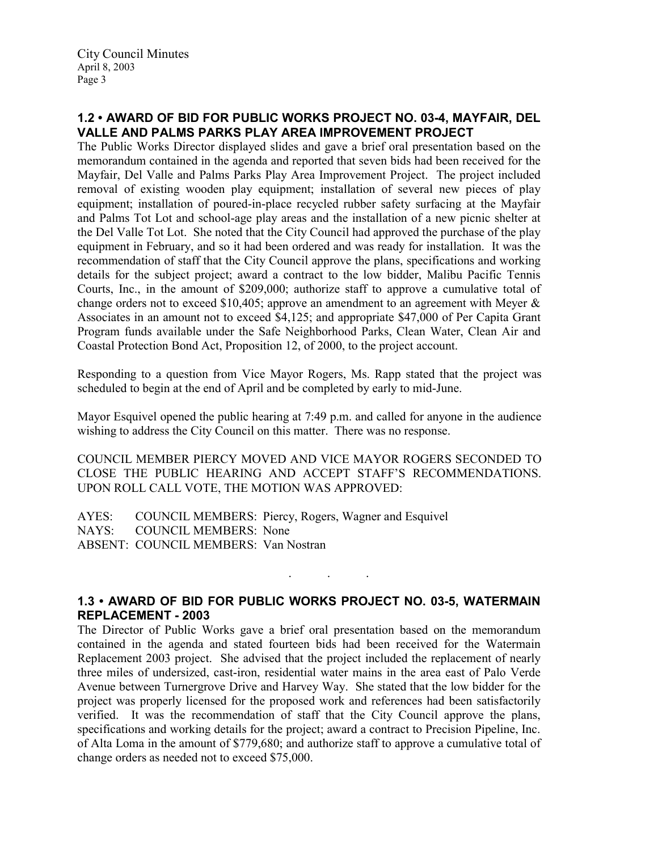# 1.2 • AWARD OF BID FOR PUBLIC WORKS PROJECT NO. 03-4, MAYFAIR, DEL VALLE AND PALMS PARKS PLAY AREA IMPROVEMENT PROJECT

The Public Works Director displayed slides and gave a brief oral presentation based on the memorandum contained in the agenda and reported that seven bids had been received for the Mayfair, Del Valle and Palms Parks Play Area Improvement Project. The project included removal of existing wooden play equipment; installation of several new pieces of play equipment; installation of poured-in-place recycled rubber safety surfacing at the Mayfair and Palms Tot Lot and school-age play areas and the installation of a new picnic shelter at the Del Valle Tot Lot. She noted that the City Council had approved the purchase of the play equipment in February, and so it had been ordered and was ready for installation. It was the recommendation of staff that the City Council approve the plans, specifications and working details for the subject project; award a contract to the low bidder, Malibu Pacific Tennis Courts, Inc., in the amount of \$209,000; authorize staff to approve a cumulative total of change orders not to exceed \$10,405; approve an amendment to an agreement with Meyer & Associates in an amount not to exceed \$4,125; and appropriate \$47,000 of Per Capita Grant Program funds available under the Safe Neighborhood Parks, Clean Water, Clean Air and Coastal Protection Bond Act, Proposition 12, of 2000, to the project account.

Responding to a question from Vice Mayor Rogers, Ms. Rapp stated that the project was scheduled to begin at the end of April and be completed by early to mid-June.

Mayor Esquivel opened the public hearing at 7:49 p.m. and called for anyone in the audience wishing to address the City Council on this matter. There was no response.

COUNCIL MEMBER PIERCY MOVED AND VICE MAYOR ROGERS SECONDED TO CLOSE THE PUBLIC HEARING AND ACCEPT STAFF'S RECOMMENDATIONS. UPON ROLL CALL VOTE, THE MOTION WAS APPROVED:

AYES: COUNCIL MEMBERS: Piercy, Rogers, Wagner and Esquivel NAYS: COUNCIL MEMBERS: None ABSENT: COUNCIL MEMBERS: Van Nostran

### 1.3 • AWARD OF BID FOR PUBLIC WORKS PROJECT NO. 03-5, WATERMAIN REPLACEMENT - 2003

. . .

The Director of Public Works gave a brief oral presentation based on the memorandum contained in the agenda and stated fourteen bids had been received for the Watermain Replacement 2003 project. She advised that the project included the replacement of nearly three miles of undersized, cast-iron, residential water mains in the area east of Palo Verde Avenue between Turnergrove Drive and Harvey Way. She stated that the low bidder for the project was properly licensed for the proposed work and references had been satisfactorily verified. It was the recommendation of staff that the City Council approve the plans, specifications and working details for the project; award a contract to Precision Pipeline, Inc. of Alta Loma in the amount of \$779,680; and authorize staff to approve a cumulative total of change orders as needed not to exceed \$75,000.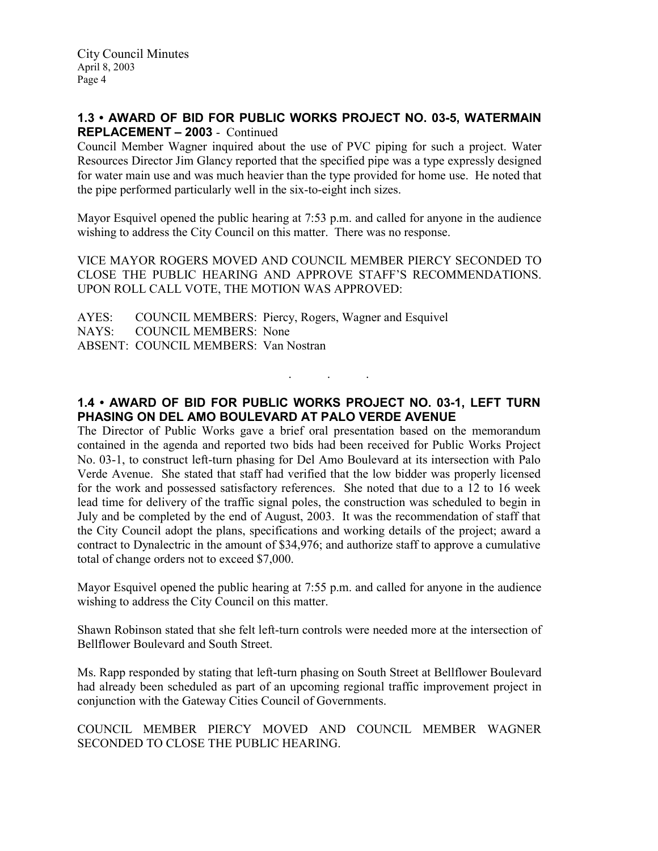## 1.3 • AWARD OF BID FOR PUBLIC WORKS PROJECT NO. 03-5, WATERMAIN REPLACEMENT – 2003 - Continued

Council Member Wagner inquired about the use of PVC piping for such a project. Water Resources Director Jim Glancy reported that the specified pipe was a type expressly designed for water main use and was much heavier than the type provided for home use. He noted that the pipe performed particularly well in the six-to-eight inch sizes.

Mayor Esquivel opened the public hearing at 7:53 p.m. and called for anyone in the audience wishing to address the City Council on this matter. There was no response.

VICE MAYOR ROGERS MOVED AND COUNCIL MEMBER PIERCY SECONDED TO CLOSE THE PUBLIC HEARING AND APPROVE STAFF'S RECOMMENDATIONS. UPON ROLL CALL VOTE, THE MOTION WAS APPROVED:

AYES: COUNCIL MEMBERS: Piercy, Rogers, Wagner and Esquivel NAYS: COUNCIL MEMBERS: None ABSENT: COUNCIL MEMBERS: Van Nostran

# 1.4 • AWARD OF BID FOR PUBLIC WORKS PROJECT NO. 03-1, LEFT TURN PHASING ON DEL AMO BOULEVARD AT PALO VERDE AVENUE

. . .

The Director of Public Works gave a brief oral presentation based on the memorandum contained in the agenda and reported two bids had been received for Public Works Project No. 03-1, to construct left-turn phasing for Del Amo Boulevard at its intersection with Palo Verde Avenue. She stated that staff had verified that the low bidder was properly licensed for the work and possessed satisfactory references. She noted that due to a 12 to 16 week lead time for delivery of the traffic signal poles, the construction was scheduled to begin in July and be completed by the end of August, 2003. It was the recommendation of staff that the City Council adopt the plans, specifications and working details of the project; award a contract to Dynalectric in the amount of \$34,976; and authorize staff to approve a cumulative total of change orders not to exceed \$7,000.

Mayor Esquivel opened the public hearing at 7:55 p.m. and called for anyone in the audience wishing to address the City Council on this matter.

Shawn Robinson stated that she felt left-turn controls were needed more at the intersection of Bellflower Boulevard and South Street.

Ms. Rapp responded by stating that left-turn phasing on South Street at Bellflower Boulevard had already been scheduled as part of an upcoming regional traffic improvement project in conjunction with the Gateway Cities Council of Governments.

COUNCIL MEMBER PIERCY MOVED AND COUNCIL MEMBER WAGNER SECONDED TO CLOSE THE PUBLIC HEARING.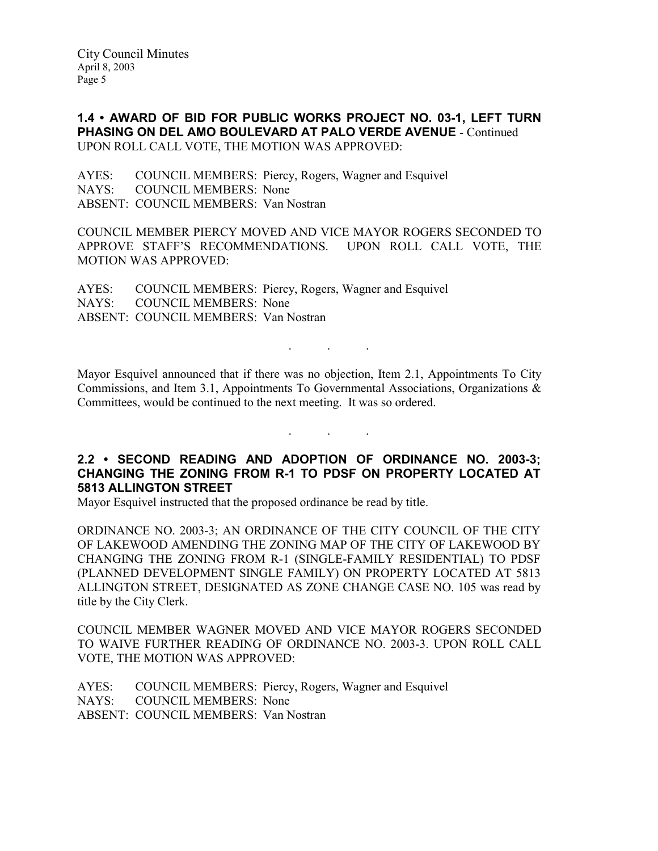City Council Minutes April 8, 2003 Page 5

1.4 • AWARD OF BID FOR PUBLIC WORKS PROJECT NO. 03-1, LEFT TURN PHASING ON DEL AMO BOULEVARD AT PALO VERDE AVENUE - Continued UPON ROLL CALL VOTE, THE MOTION WAS APPROVED:

AYES: COUNCIL MEMBERS: Piercy, Rogers, Wagner and Esquivel NAYS: COUNCIL MEMBERS: None ABSENT: COUNCIL MEMBERS: Van Nostran

COUNCIL MEMBER PIERCY MOVED AND VICE MAYOR ROGERS SECONDED TO APPROVE STAFF'S RECOMMENDATIONS. UPON ROLL CALL VOTE, THE MOTION WAS APPROVED:

AYES: COUNCIL MEMBERS: Piercy, Rogers, Wagner and Esquivel NAYS: COUNCIL MEMBERS: None ABSENT: COUNCIL MEMBERS: Van Nostran

Mayor Esquivel announced that if there was no objection, Item 2.1, Appointments To City Commissions, and Item 3.1, Appointments To Governmental Associations, Organizations & Committees, would be continued to the next meeting. It was so ordered.

. . .

# 2.2 • SECOND READING AND ADOPTION OF ORDINANCE NO. 2003-3; CHANGING THE ZONING FROM R-1 TO PDSF ON PROPERTY LOCATED AT 5813 ALLINGTON STREET

. . .

Mayor Esquivel instructed that the proposed ordinance be read by title.

ORDINANCE NO. 2003-3; AN ORDINANCE OF THE CITY COUNCIL OF THE CITY OF LAKEWOOD AMENDING THE ZONING MAP OF THE CITY OF LAKEWOOD BY CHANGING THE ZONING FROM R-1 (SINGLE-FAMILY RESIDENTIAL) TO PDSF (PLANNED DEVELOPMENT SINGLE FAMILY) ON PROPERTY LOCATED AT 5813 ALLINGTON STREET, DESIGNATED AS ZONE CHANGE CASE NO. 105 was read by title by the City Clerk.

COUNCIL MEMBER WAGNER MOVED AND VICE MAYOR ROGERS SECONDED TO WAIVE FURTHER READING OF ORDINANCE NO. 2003-3. UPON ROLL CALL VOTE, THE MOTION WAS APPROVED:

AYES: COUNCIL MEMBERS: Piercy, Rogers, Wagner and Esquivel NAYS: COUNCIL MEMBERS: None ABSENT: COUNCIL MEMBERS: Van Nostran